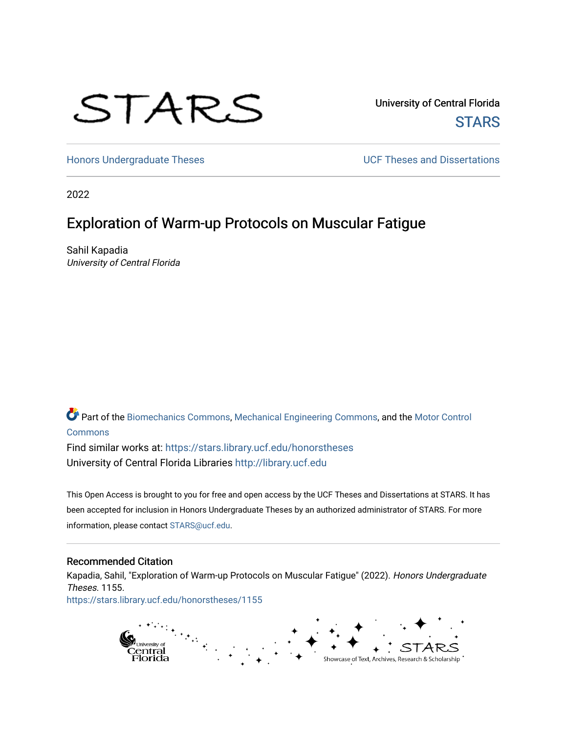# STARS

University of Central Florida **STARS** 

[Honors Undergraduate Theses](https://stars.library.ucf.edu/honorstheses) **Exercise 2018** UCF Theses and Dissertations

2022

# Exploration of Warm-up Protocols on Muscular Fatigue

Sahil Kapadia University of Central Florida

Part of the [Biomechanics Commons,](https://network.bepress.com/hgg/discipline/43?utm_source=stars.library.ucf.edu%2Fhonorstheses%2F1155&utm_medium=PDF&utm_campaign=PDFCoverPages) [Mechanical Engineering Commons,](https://network.bepress.com/hgg/discipline/293?utm_source=stars.library.ucf.edu%2Fhonorstheses%2F1155&utm_medium=PDF&utm_campaign=PDFCoverPages) and the [Motor Control](https://network.bepress.com/hgg/discipline/45?utm_source=stars.library.ucf.edu%2Fhonorstheses%2F1155&utm_medium=PDF&utm_campaign=PDFCoverPages) [Commons](https://network.bepress.com/hgg/discipline/45?utm_source=stars.library.ucf.edu%2Fhonorstheses%2F1155&utm_medium=PDF&utm_campaign=PDFCoverPages)

Find similar works at: <https://stars.library.ucf.edu/honorstheses> University of Central Florida Libraries [http://library.ucf.edu](http://library.ucf.edu/) 

This Open Access is brought to you for free and open access by the UCF Theses and Dissertations at STARS. It has been accepted for inclusion in Honors Undergraduate Theses by an authorized administrator of STARS. For more information, please contact [STARS@ucf.edu.](mailto:STARS@ucf.edu)

#### Recommended Citation

Kapadia, Sahil, "Exploration of Warm-up Protocols on Muscular Fatigue" (2022). Honors Undergraduate Theses. 1155. [https://stars.library.ucf.edu/honorstheses/1155](https://stars.library.ucf.edu/honorstheses/1155?utm_source=stars.library.ucf.edu%2Fhonorstheses%2F1155&utm_medium=PDF&utm_campaign=PDFCoverPages)

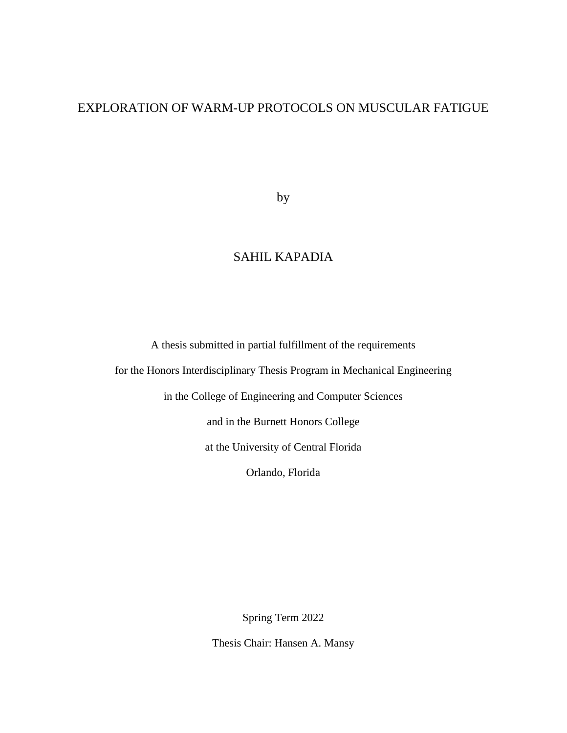## EXPLORATION OF WARM-UP PROTOCOLS ON MUSCULAR FATIGUE

by

## SAHIL KAPADIA

A thesis submitted in partial fulfillment of the requirements

for the Honors Interdisciplinary Thesis Program in Mechanical Engineering

in the College of Engineering and Computer Sciences

and in the Burnett Honors College

at the University of Central Florida

Orlando, Florida

Spring Term 2022

Thesis Chair: Hansen A. Mansy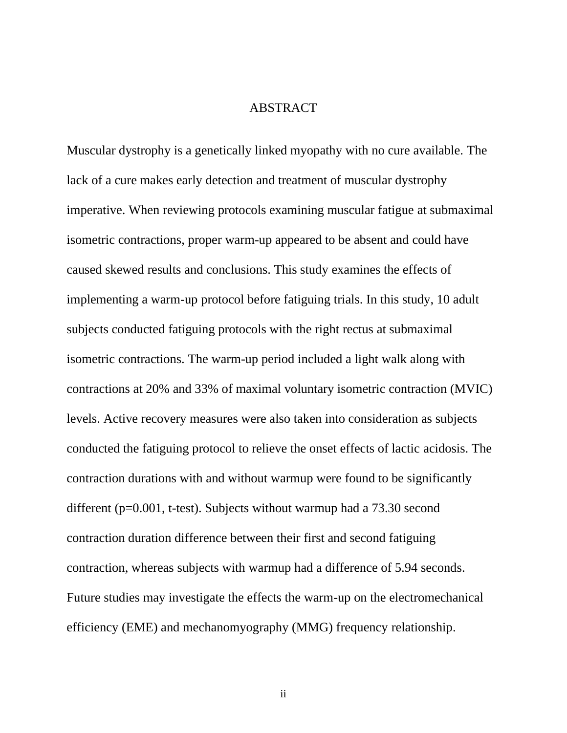## **ABSTRACT**

Muscular dystrophy is a genetically linked myopathy with no cure available. The lack of a cure makes early detection and treatment of muscular dystrophy imperative. When reviewing protocols examining muscular fatigue at submaximal isometric contractions, proper warm-up appeared to be absent and could have caused skewed results and conclusions. This study examines the effects of implementing a warm-up protocol before fatiguing trials. In this study, 10 adult subjects conducted fatiguing protocols with the right rectus at submaximal isometric contractions. The warm-up period included a light walk along with contractions at 20% and 33% of maximal voluntary isometric contraction (MVIC) levels. Active recovery measures were also taken into consideration as subjects conducted the fatiguing protocol to relieve the onset effects of lactic acidosis. The contraction durations with and without warmup were found to be significantly different (p=0.001, t-test). Subjects without warmup had a 73.30 second contraction duration difference between their first and second fatiguing contraction, whereas subjects with warmup had a difference of 5.94 seconds. Future studies may investigate the effects the warm-up on the electromechanical efficiency (EME) and mechanomyography (MMG) frequency relationship.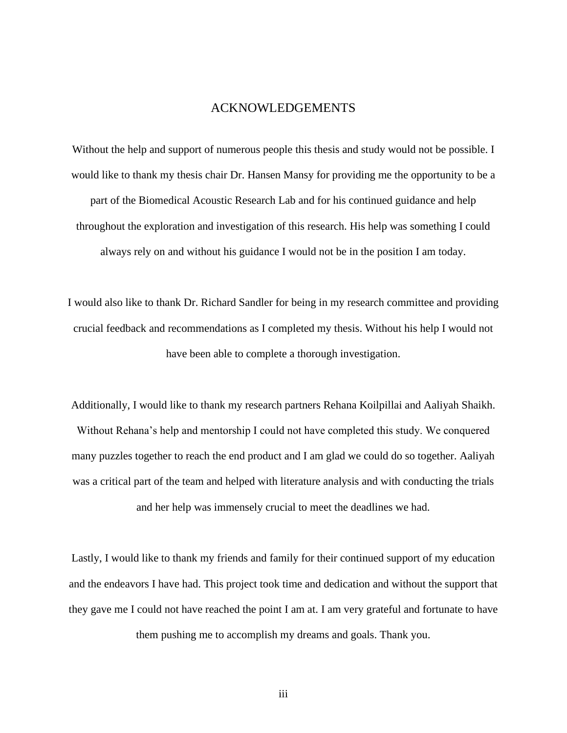#### ACKNOWLEDGEMENTS

Without the help and support of numerous people this thesis and study would not be possible. I would like to thank my thesis chair Dr. Hansen Mansy for providing me the opportunity to be a part of the Biomedical Acoustic Research Lab and for his continued guidance and help throughout the exploration and investigation of this research. His help was something I could always rely on and without his guidance I would not be in the position I am today.

I would also like to thank Dr. Richard Sandler for being in my research committee and providing crucial feedback and recommendations as I completed my thesis. Without his help I would not have been able to complete a thorough investigation.

Additionally, I would like to thank my research partners Rehana Koilpillai and Aaliyah Shaikh. Without Rehana's help and mentorship I could not have completed this study. We conquered many puzzles together to reach the end product and I am glad we could do so together. Aaliyah was a critical part of the team and helped with literature analysis and with conducting the trials and her help was immensely crucial to meet the deadlines we had.

Lastly, I would like to thank my friends and family for their continued support of my education and the endeavors I have had. This project took time and dedication and without the support that they gave me I could not have reached the point I am at. I am very grateful and fortunate to have

them pushing me to accomplish my dreams and goals. Thank you.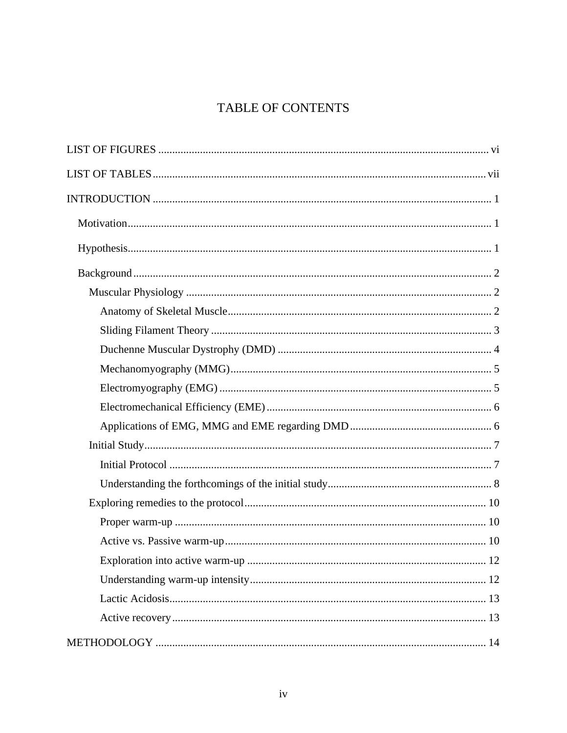# **TABLE OF CONTENTS**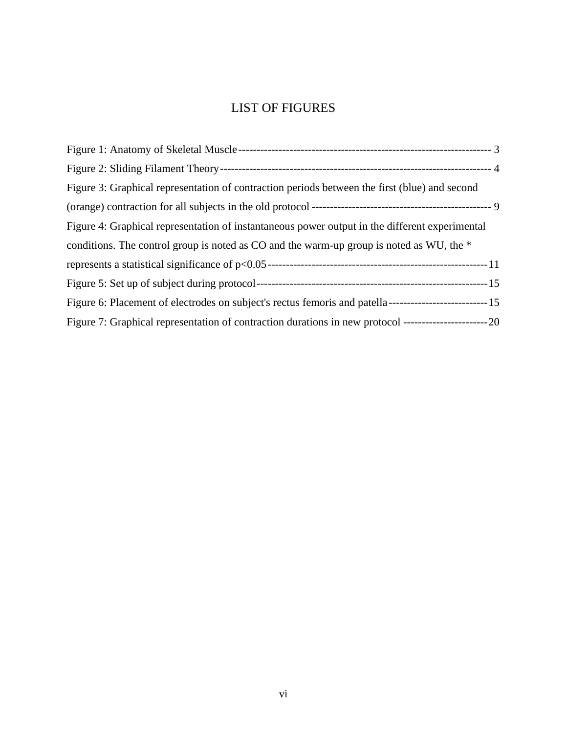# LIST OF FIGURES

<span id="page-6-0"></span>

| Figure 3: Graphical representation of contraction periods between the first (blue) and second                  |  |
|----------------------------------------------------------------------------------------------------------------|--|
|                                                                                                                |  |
| Figure 4: Graphical representation of instantaneous power output in the different experimental                 |  |
| conditions. The control group is noted as CO and the warm-up group is noted as WU, the *                       |  |
|                                                                                                                |  |
|                                                                                                                |  |
|                                                                                                                |  |
| Figure 7: Graphical representation of contraction durations in new protocol ---------------------------------- |  |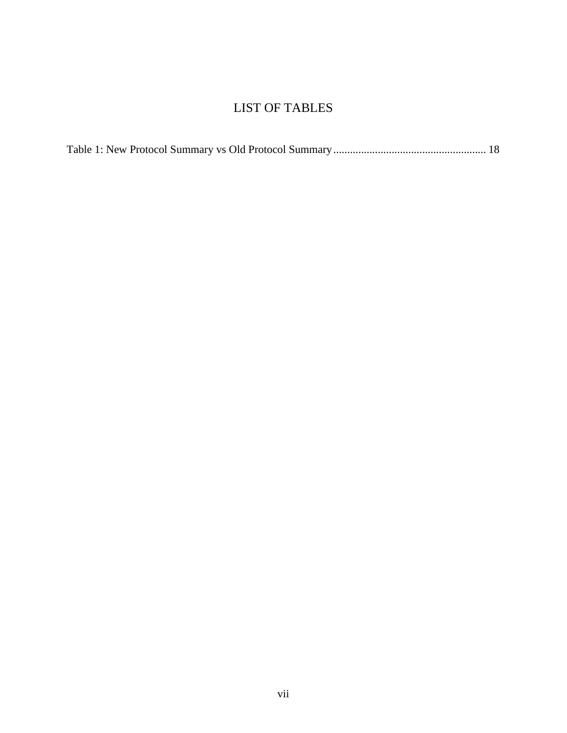# LIST OF TABLES

<span id="page-7-0"></span>

|--|--|--|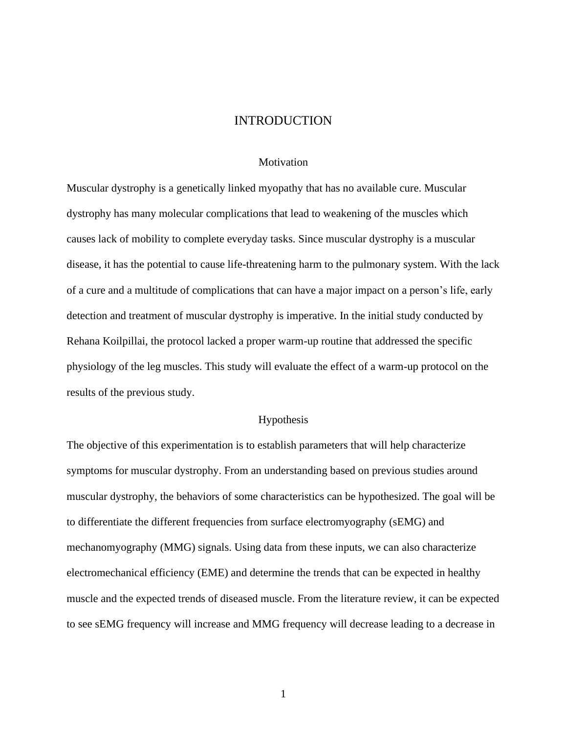#### INTRODUCTION

#### **Motivation**

<span id="page-8-1"></span><span id="page-8-0"></span>Muscular dystrophy is a genetically linked myopathy that has no available cure. Muscular dystrophy has many molecular complications that lead to weakening of the muscles which causes lack of mobility to complete everyday tasks. Since muscular dystrophy is a muscular disease, it has the potential to cause life-threatening harm to the pulmonary system. With the lack of a cure and a multitude of complications that can have a major impact on a person's life, early detection and treatment of muscular dystrophy is imperative. In the initial study conducted by Rehana Koilpillai, the protocol lacked a proper warm-up routine that addressed the specific physiology of the leg muscles. This study will evaluate the effect of a warm-up protocol on the results of the previous study.

#### Hypothesis

<span id="page-8-2"></span>The objective of this experimentation is to establish parameters that will help characterize symptoms for muscular dystrophy. From an understanding based on previous studies around muscular dystrophy, the behaviors of some characteristics can be hypothesized. The goal will be to differentiate the different frequencies from surface electromyography (sEMG) and mechanomyography (MMG) signals. Using data from these inputs, we can also characterize electromechanical efficiency (EME) and determine the trends that can be expected in healthy muscle and the expected trends of diseased muscle. From the literature review, it can be expected to see sEMG frequency will increase and MMG frequency will decrease leading to a decrease in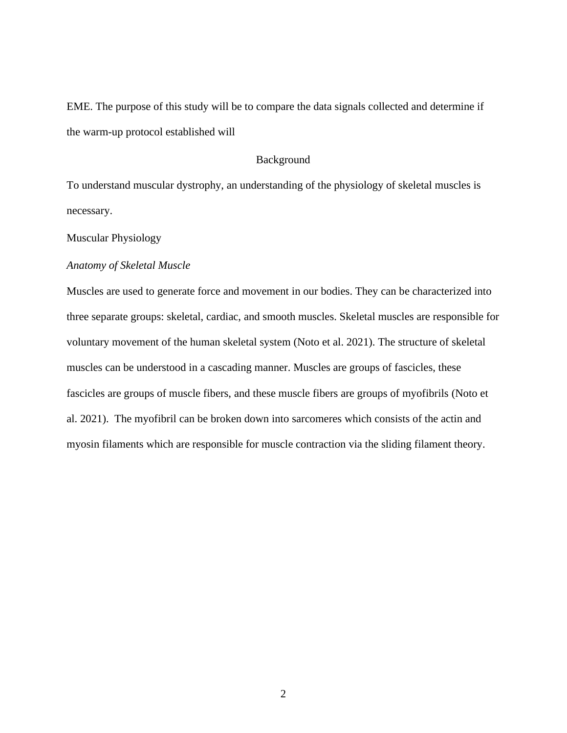EME. The purpose of this study will be to compare the data signals collected and determine if the warm-up protocol established will

## Background

<span id="page-9-0"></span>To understand muscular dystrophy, an understanding of the physiology of skeletal muscles is necessary.

<span id="page-9-1"></span>Muscular Physiology

#### <span id="page-9-2"></span>*Anatomy of Skeletal Muscle*

Muscles are used to generate force and movement in our bodies. They can be characterized into three separate groups: skeletal, cardiac, and smooth muscles. Skeletal muscles are responsible for voluntary movement of the human skeletal system (Noto et al. 2021). The structure of skeletal muscles can be understood in a cascading manner. Muscles are groups of fascicles, these fascicles are groups of muscle fibers, and these muscle fibers are groups of myofibrils (Noto et al. 2021). The myofibril can be broken down into sarcomeres which consists of the actin and myosin filaments which are responsible for muscle contraction via the sliding filament theory.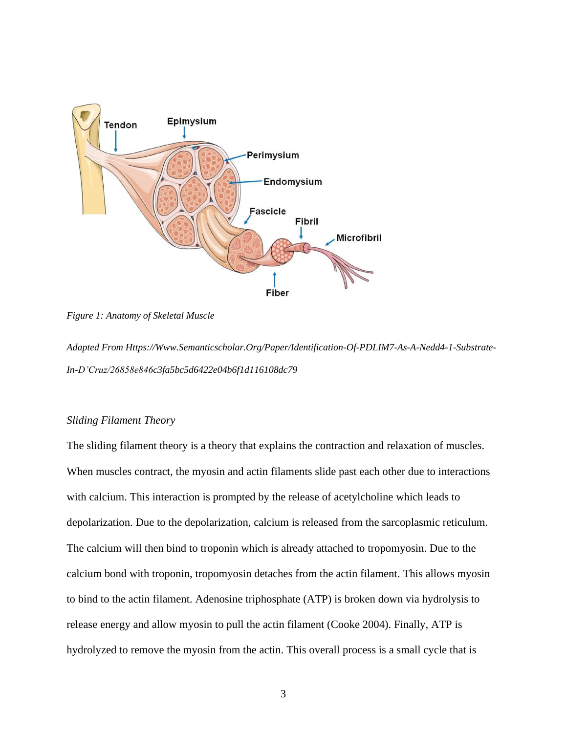

<span id="page-10-1"></span>*Figure 1: Anatomy of Skeletal Muscle*

*Adapted Fro[m Https://Www.Semanticscholar.Org/Paper/Identification-Of-PDLIM7-As-A-Nedd4-1-Substrate-](https://www.semanticscholar.org/paper/Identification-of-PDLIM7-as-a-Nedd4-1-substrate-in-D’Cruz/26858e846c3fa5bc5d6422e04b6f1d116108dc79)[In-D'Cruz/26858e846c3fa5bc5d6422e04b6f1d116108dc79](https://www.semanticscholar.org/paper/Identification-of-PDLIM7-as-a-Nedd4-1-substrate-in-D’Cruz/26858e846c3fa5bc5d6422e04b6f1d116108dc79)*

#### <span id="page-10-0"></span>*Sliding Filament Theory*

The sliding filament theory is a theory that explains the contraction and relaxation of muscles. When muscles contract, the myosin and actin filaments slide past each other due to interactions with calcium. This interaction is prompted by the release of acetylcholine which leads to depolarization. Due to the depolarization, calcium is released from the sarcoplasmic reticulum. The calcium will then bind to troponin which is already attached to tropomyosin. Due to the calcium bond with troponin, tropomyosin detaches from the actin filament. This allows myosin to bind to the actin filament. Adenosine triphosphate (ATP) is broken down via hydrolysis to release energy and allow myosin to pull the actin filament (Cooke 2004). Finally, ATP is hydrolyzed to remove the myosin from the actin. This overall process is a small cycle that is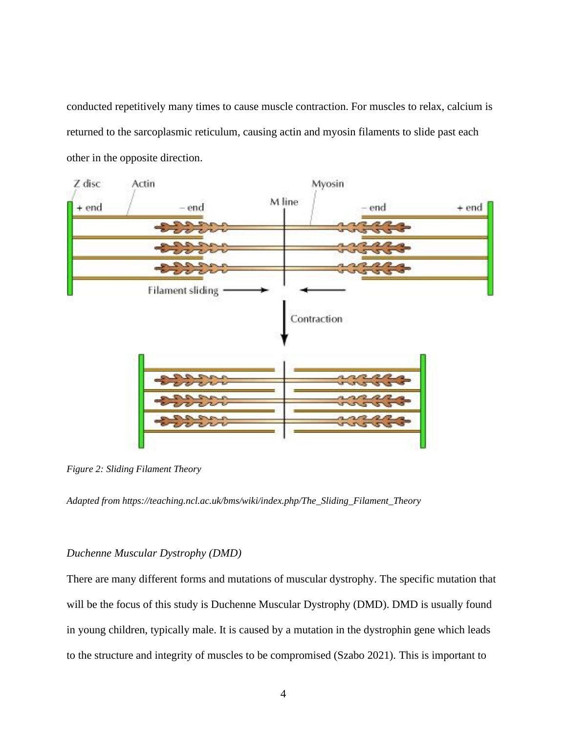conducted repetitively many times to cause muscle contraction. For muscles to relax, calcium is returned to the sarcoplasmic reticulum, causing actin and myosin filaments to slide past each other in the opposite direction.



*Figure 2: Sliding Filament Theory*

<span id="page-11-1"></span>*Adapted from [https://teaching.ncl.ac.uk/bms/wiki/index.php/The\\_Sliding\\_Filament\\_Theory](https://teaching.ncl.ac.uk/bms/wiki/index.php/The_Sliding_Filament_Theory)*

#### <span id="page-11-0"></span>*Duchenne Muscular Dystrophy (DMD)*

There are many different forms and mutations of muscular dystrophy. The specific mutation that will be the focus of this study is Duchenne Muscular Dystrophy (DMD). DMD is usually found in young children, typically male. It is caused by a mutation in the dystrophin gene which leads to the structure and integrity of muscles to be compromised (Szabo 2021). This is important to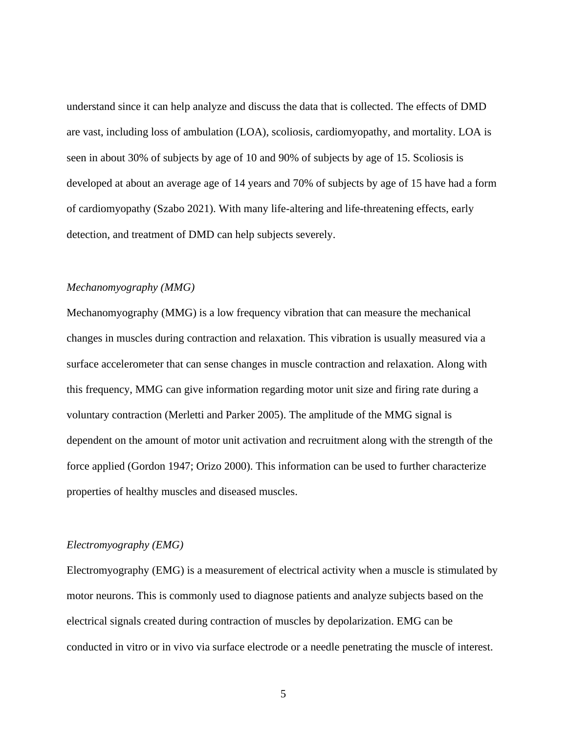understand since it can help analyze and discuss the data that is collected. The effects of DMD are vast, including loss of ambulation (LOA), scoliosis, cardiomyopathy, and mortality. LOA is seen in about 30% of subjects by age of 10 and 90% of subjects by age of 15. Scoliosis is developed at about an average age of 14 years and 70% of subjects by age of 15 have had a form of cardiomyopathy (Szabo 2021). With many life-altering and life-threatening effects, early detection, and treatment of DMD can help subjects severely.

#### <span id="page-12-0"></span>*Mechanomyography (MMG)*

Mechanomyography (MMG) is a low frequency vibration that can measure the mechanical changes in muscles during contraction and relaxation. This vibration is usually measured via a surface accelerometer that can sense changes in muscle contraction and relaxation. Along with this frequency, MMG can give information regarding motor unit size and firing rate during a voluntary contraction (Merletti and Parker 2005). The amplitude of the MMG signal is dependent on the amount of motor unit activation and recruitment along with the strength of the force applied (Gordon 1947; Orizo 2000). This information can be used to further characterize properties of healthy muscles and diseased muscles.

#### <span id="page-12-1"></span>*Electromyography (EMG)*

Electromyography (EMG) is a measurement of electrical activity when a muscle is stimulated by motor neurons. This is commonly used to diagnose patients and analyze subjects based on the electrical signals created during contraction of muscles by depolarization. EMG can be conducted in vitro or in vivo via surface electrode or a needle penetrating the muscle of interest.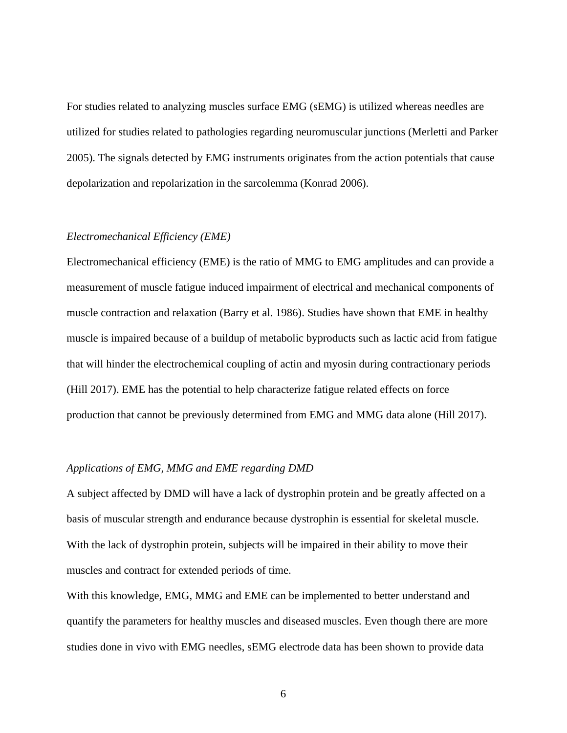For studies related to analyzing muscles surface EMG (sEMG) is utilized whereas needles are utilized for studies related to pathologies regarding neuromuscular junctions (Merletti and Parker 2005). The signals detected by EMG instruments originates from the action potentials that cause depolarization and repolarization in the sarcolemma (Konrad 2006).

#### <span id="page-13-0"></span>*Electromechanical Efficiency (EME)*

Electromechanical efficiency (EME) is the ratio of MMG to EMG amplitudes and can provide a measurement of muscle fatigue induced impairment of electrical and mechanical components of muscle contraction and relaxation (Barry et al. 1986). Studies have shown that EME in healthy muscle is impaired because of a buildup of metabolic byproducts such as lactic acid from fatigue that will hinder the electrochemical coupling of actin and myosin during contractionary periods (Hill 2017). EME has the potential to help characterize fatigue related effects on force production that cannot be previously determined from EMG and MMG data alone (Hill 2017).

#### <span id="page-13-1"></span>*Applications of EMG, MMG and EME regarding DMD*

A subject affected by DMD will have a lack of dystrophin protein and be greatly affected on a basis of muscular strength and endurance because dystrophin is essential for skeletal muscle. With the lack of dystrophin protein, subjects will be impaired in their ability to move their muscles and contract for extended periods of time.

With this knowledge, EMG, MMG and EME can be implemented to better understand and quantify the parameters for healthy muscles and diseased muscles. Even though there are more studies done in vivo with EMG needles, sEMG electrode data has been shown to provide data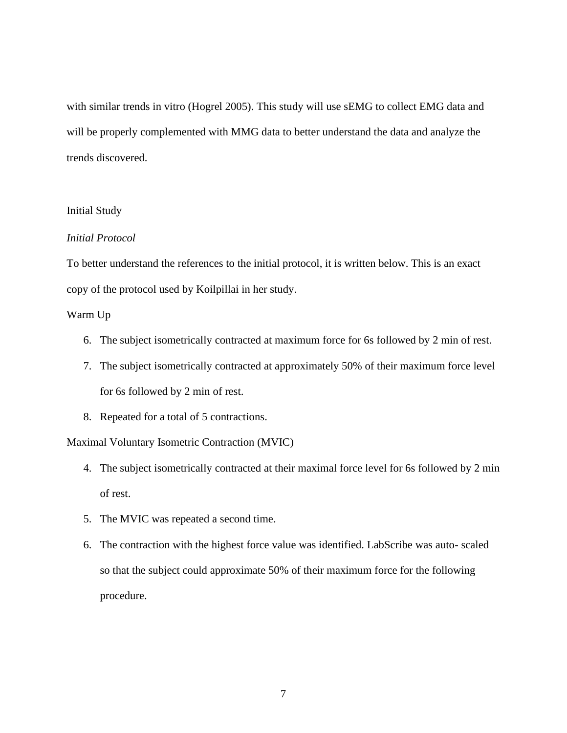with similar trends in vitro (Hogrel 2005). This study will use sEMG to collect EMG data and will be properly complemented with MMG data to better understand the data and analyze the trends discovered.

#### <span id="page-14-0"></span>Initial Study

#### <span id="page-14-1"></span>*Initial Protocol*

To better understand the references to the initial protocol, it is written below. This is an exact copy of the protocol used by Koilpillai in her study.

#### Warm Up

- 6. The subject isometrically contracted at maximum force for 6s followed by 2 min of rest.
- 7. The subject isometrically contracted at approximately 50% of their maximum force level for 6s followed by 2 min of rest.
- 8. Repeated for a total of 5 contractions.

Maximal Voluntary Isometric Contraction (MVIC)

- 4. The subject isometrically contracted at their maximal force level for 6s followed by 2 min of rest.
- 5. The MVIC was repeated a second time.
- 6. The contraction with the highest force value was identified. LabScribe was auto- scaled so that the subject could approximate 50% of their maximum force for the following procedure.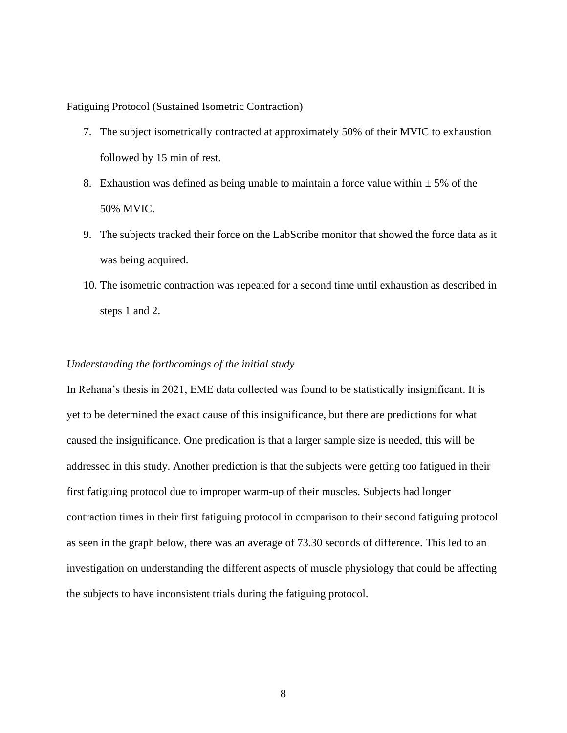Fatiguing Protocol (Sustained Isometric Contraction)

- 7. The subject isometrically contracted at approximately 50% of their MVIC to exhaustion followed by 15 min of rest.
- 8. Exhaustion was defined as being unable to maintain a force value within  $\pm$  5% of the 50% MVIC.
- 9. The subjects tracked their force on the LabScribe monitor that showed the force data as it was being acquired.
- 10. The isometric contraction was repeated for a second time until exhaustion as described in steps 1 and 2.

#### <span id="page-15-0"></span>*Understanding the forthcomings of the initial study*

In Rehana's thesis in 2021, EME data collected was found to be statistically insignificant. It is yet to be determined the exact cause of this insignificance, but there are predictions for what caused the insignificance. One predication is that a larger sample size is needed, this will be addressed in this study. Another prediction is that the subjects were getting too fatigued in their first fatiguing protocol due to improper warm-up of their muscles. Subjects had longer contraction times in their first fatiguing protocol in comparison to their second fatiguing protocol as seen in the graph below, there was an average of 73.30 seconds of difference. This led to an investigation on understanding the different aspects of muscle physiology that could be affecting the subjects to have inconsistent trials during the fatiguing protocol.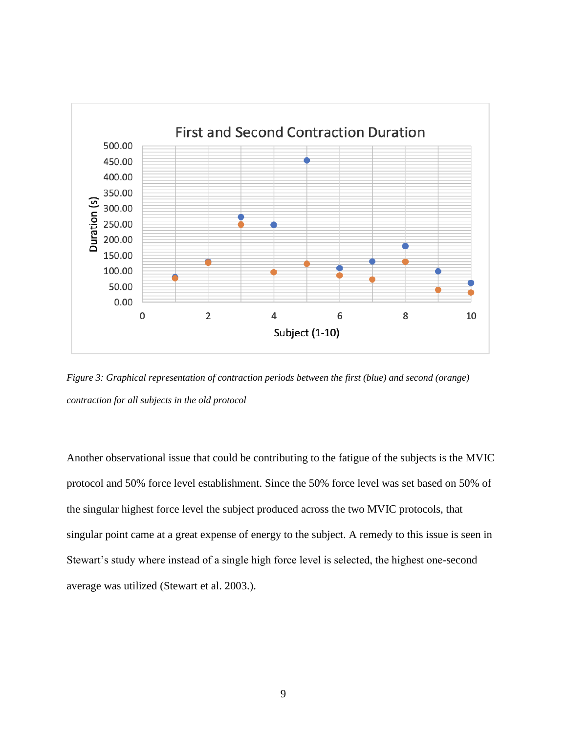

<span id="page-16-0"></span>*Figure 3: Graphical representation of contraction periods between the first (blue) and second (orange) contraction for all subjects in the old protocol*

Another observational issue that could be contributing to the fatigue of the subjects is the MVIC protocol and 50% force level establishment. Since the 50% force level was set based on 50% of the singular highest force level the subject produced across the two MVIC protocols, that singular point came at a great expense of energy to the subject. A remedy to this issue is seen in Stewart's study where instead of a single high force level is selected, the highest one-second average was utilized (Stewart et al. 2003.).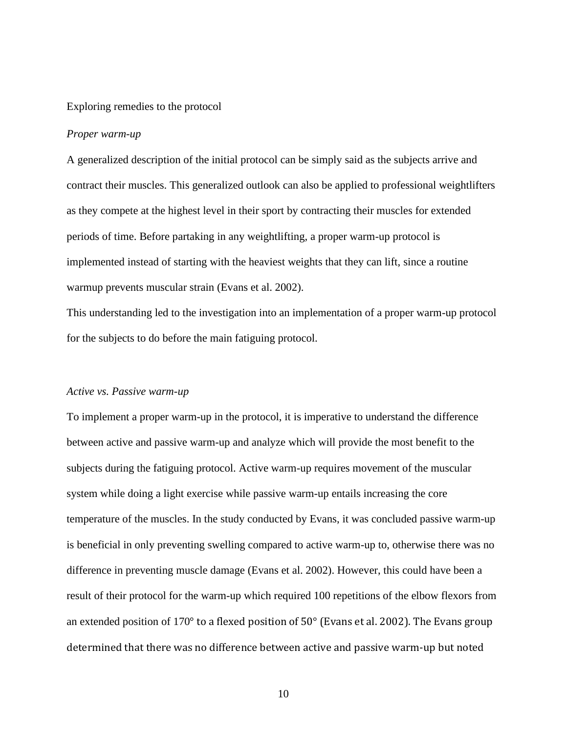#### <span id="page-17-0"></span>Exploring remedies to the protocol

#### <span id="page-17-1"></span>*Proper warm-up*

A generalized description of the initial protocol can be simply said as the subjects arrive and contract their muscles. This generalized outlook can also be applied to professional weightlifters as they compete at the highest level in their sport by contracting their muscles for extended periods of time. Before partaking in any weightlifting, a proper warm-up protocol is implemented instead of starting with the heaviest weights that they can lift, since a routine warmup prevents muscular strain (Evans et al. 2002).

This understanding led to the investigation into an implementation of a proper warm-up protocol for the subjects to do before the main fatiguing protocol.

#### <span id="page-17-2"></span>*Active vs. Passive warm-up*

To implement a proper warm-up in the protocol, it is imperative to understand the difference between active and passive warm-up and analyze which will provide the most benefit to the subjects during the fatiguing protocol. Active warm-up requires movement of the muscular system while doing a light exercise while passive warm-up entails increasing the core temperature of the muscles. In the study conducted by Evans, it was concluded passive warm-up is beneficial in only preventing swelling compared to active warm-up to, otherwise there was no difference in preventing muscle damage (Evans et al. 2002). However, this could have been a result of their protocol for the warm-up which required 100 repetitions of the elbow flexors from an extended position of 170° to a flexed position of 50° (Evans et al. 2002). The Evans group determined that there was no difference between active and passive warm-up but noted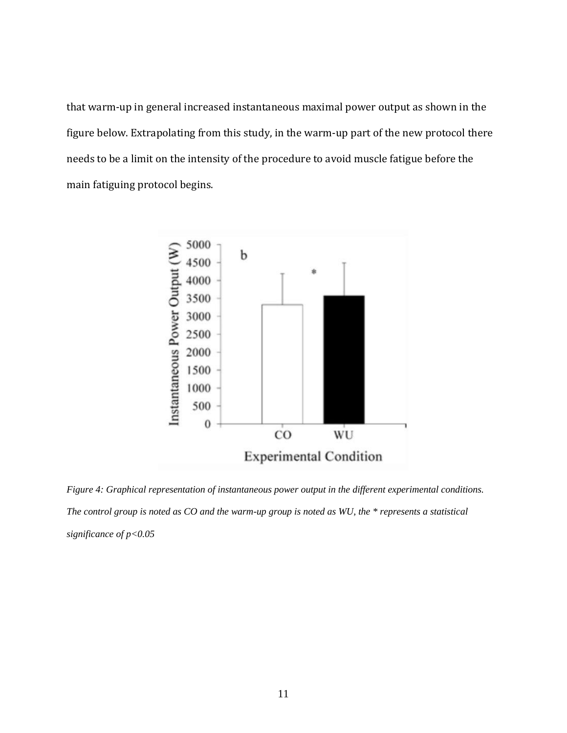that warm-up in general increased instantaneous maximal power output as shown in the figure below. Extrapolating from this study, in the warm-up part of the new protocol there needs to be a limit on the intensity of the procedure to avoid muscle fatigue before the main fatiguing protocol begins.



<span id="page-18-0"></span>*Figure 4: Graphical representation of instantaneous power output in the different experimental conditions. The control group is noted as CO and the warm-up group is noted as WU, the \* represents a statistical significance of p<0.05*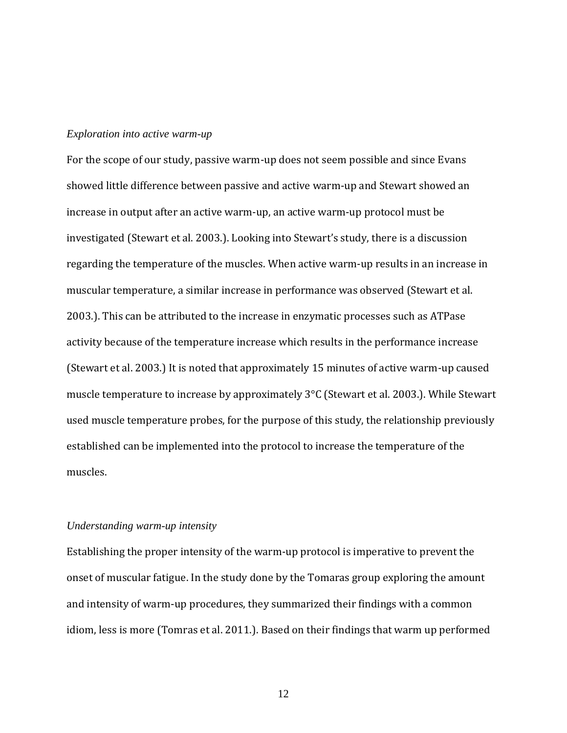#### <span id="page-19-0"></span>*Exploration into active warm-up*

For the scope of our study, passive warm-up does not seem possible and since Evans showed little difference between passive and active warm-up and Stewart showed an increase in output after an active warm-up, an active warm-up protocol must be investigated (Stewart et al. 2003.). Looking into Stewart's study, there is a discussion regarding the temperature of the muscles. When active warm-up results in an increase in muscular temperature, a similar increase in performance was observed (Stewart et al. 2003.). This can be attributed to the increase in enzymatic processes such as ATPase activity because of the temperature increase which results in the performance increase (Stewart et al. 2003.) It is noted that approximately 15 minutes of active warm-up caused muscle temperature to increase by approximately 3°C (Stewart et al. 2003.). While Stewart used muscle temperature probes, for the purpose of this study, the relationship previously established can be implemented into the protocol to increase the temperature of the muscles.

#### <span id="page-19-1"></span>*Understanding warm-up intensity*

Establishing the proper intensity of the warm-up protocol is imperative to prevent the onset of muscular fatigue. In the study done by the Tomaras group exploring the amount and intensity of warm-up procedures, they summarized their findings with a common idiom, less is more (Tomras et al. 2011.). Based on their findings that warm up performed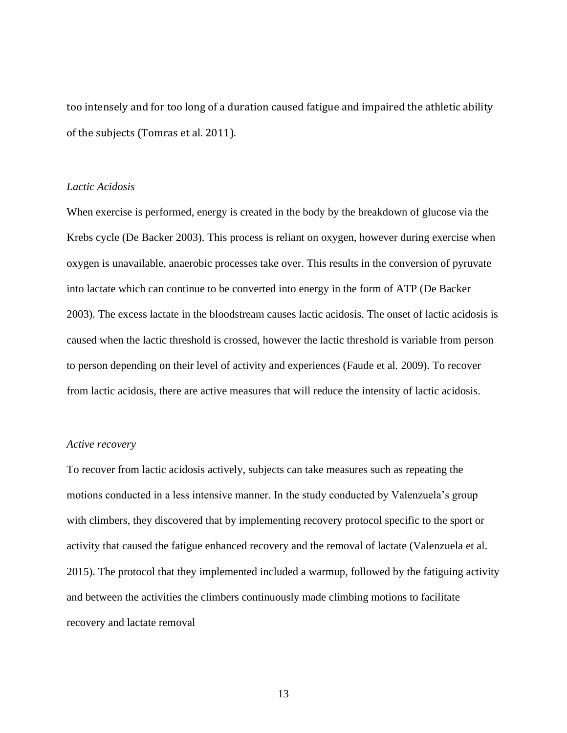too intensely and for too long of a duration caused fatigue and impaired the athletic ability of the subjects (Tomras et al. 2011).

#### <span id="page-20-0"></span>*Lactic Acidosis*

When exercise is performed, energy is created in the body by the breakdown of glucose via the Krebs cycle (De Backer 2003). This process is reliant on oxygen, however during exercise when oxygen is unavailable, anaerobic processes take over. This results in the conversion of pyruvate into lactate which can continue to be converted into energy in the form of ATP (De Backer 2003). The excess lactate in the bloodstream causes lactic acidosis. The onset of lactic acidosis is caused when the lactic threshold is crossed, however the lactic threshold is variable from person to person depending on their level of activity and experiences (Faude et al. 2009). To recover from lactic acidosis, there are active measures that will reduce the intensity of lactic acidosis.

#### <span id="page-20-1"></span>*Active recovery*

To recover from lactic acidosis actively, subjects can take measures such as repeating the motions conducted in a less intensive manner. In the study conducted by Valenzuela's group with climbers, they discovered that by implementing recovery protocol specific to the sport or activity that caused the fatigue enhanced recovery and the removal of lactate (Valenzuela et al. 2015). The protocol that they implemented included a warmup, followed by the fatiguing activity and between the activities the climbers continuously made climbing motions to facilitate recovery and lactate removal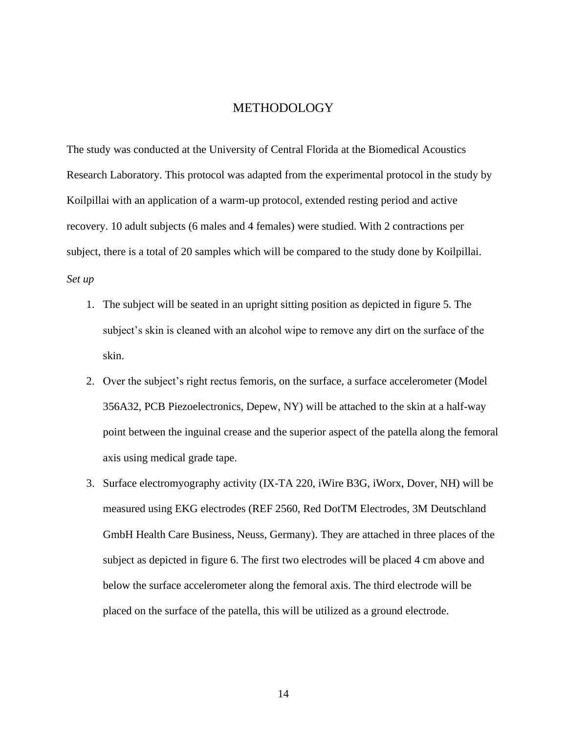#### METHODOLOGY

<span id="page-21-0"></span>The study was conducted at the University of Central Florida at the Biomedical Acoustics Research Laboratory. This protocol was adapted from the experimental protocol in the study by Koilpillai with an application of a warm-up protocol, extended resting period and active recovery. 10 adult subjects (6 males and 4 females) were studied. With 2 contractions per subject, there is a total of 20 samples which will be compared to the study done by Koilpillai. *Set up*

- <span id="page-21-1"></span>1. The subject will be seated in an upright sitting position as depicted in figure 5. The subject's skin is cleaned with an alcohol wipe to remove any dirt on the surface of the skin.
- 2. Over the subject's right rectus femoris, on the surface, a surface accelerometer (Model 356A32, PCB Piezoelectronics, Depew, NY) will be attached to the skin at a half-way point between the inguinal crease and the superior aspect of the patella along the femoral axis using medical grade tape.
- 3. Surface electromyography activity (IX-TA 220, iWire B3G, iWorx, Dover, NH) will be measured using EKG electrodes (REF 2560, Red DotTM Electrodes, 3M Deutschland GmbH Health Care Business, Neuss, Germany). They are attached in three places of the subject as depicted in figure 6. The first two electrodes will be placed 4 cm above and below the surface accelerometer along the femoral axis. The third electrode will be placed on the surface of the patella, this will be utilized as a ground electrode.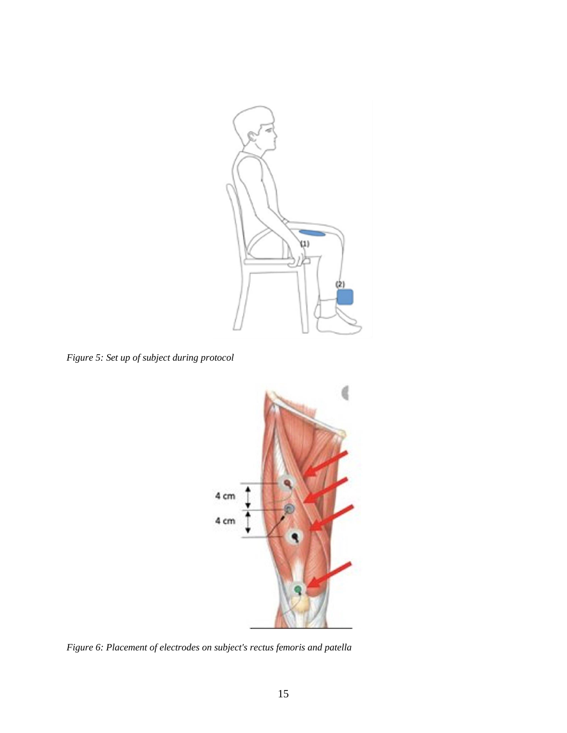

*Figure 5: Set up of subject during protocol*

<span id="page-22-0"></span>

<span id="page-22-1"></span>*Figure 6: Placement of electrodes on subject's rectus femoris and patella*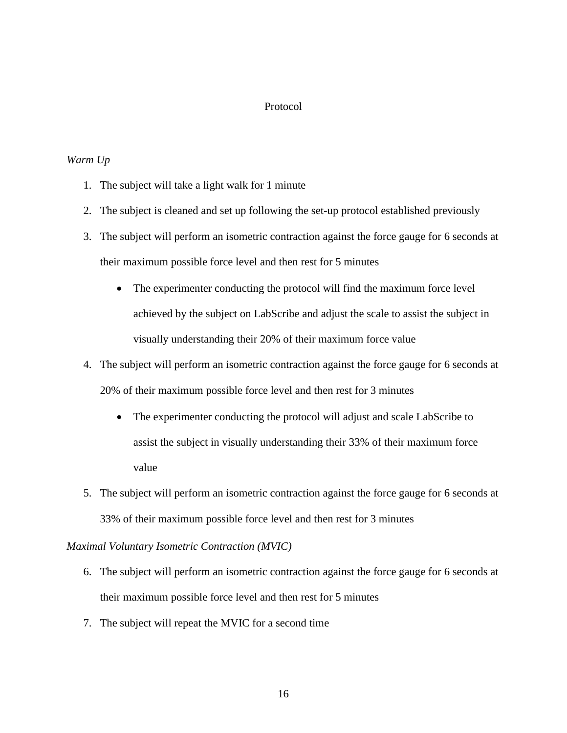#### Protocol

#### <span id="page-23-1"></span><span id="page-23-0"></span>*Warm Up*

- 1. The subject will take a light walk for 1 minute
- 2. The subject is cleaned and set up following the set-up protocol established previously
- 3. The subject will perform an isometric contraction against the force gauge for 6 seconds at their maximum possible force level and then rest for 5 minutes
	- The experimenter conducting the protocol will find the maximum force level achieved by the subject on LabScribe and adjust the scale to assist the subject in visually understanding their 20% of their maximum force value
- 4. The subject will perform an isometric contraction against the force gauge for 6 seconds at 20% of their maximum possible force level and then rest for 3 minutes
	- The experimenter conducting the protocol will adjust and scale LabScribe to assist the subject in visually understanding their 33% of their maximum force value
- 5. The subject will perform an isometric contraction against the force gauge for 6 seconds at 33% of their maximum possible force level and then rest for 3 minutes

#### <span id="page-23-2"></span>*Maximal Voluntary Isometric Contraction (MVIC)*

- 6. The subject will perform an isometric contraction against the force gauge for 6 seconds at their maximum possible force level and then rest for 5 minutes
- 7. The subject will repeat the MVIC for a second time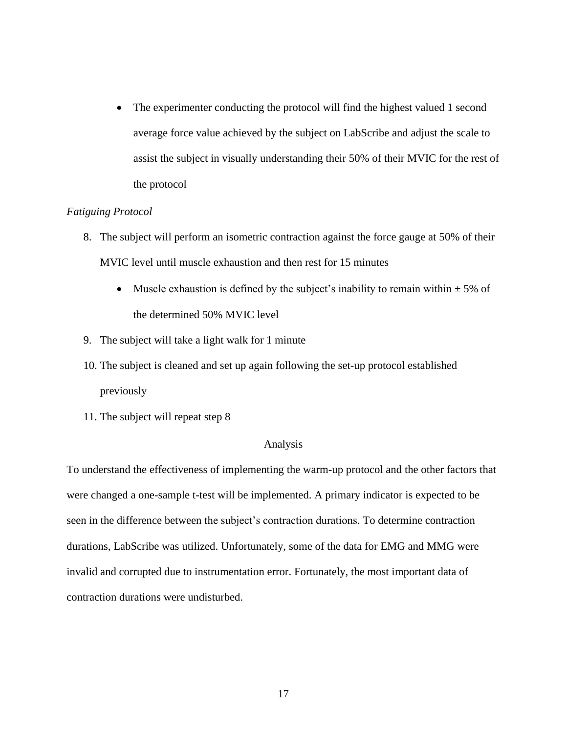• The experimenter conducting the protocol will find the highest valued 1 second average force value achieved by the subject on LabScribe and adjust the scale to assist the subject in visually understanding their 50% of their MVIC for the rest of the protocol

#### <span id="page-24-0"></span>*Fatiguing Protocol*

- 8. The subject will perform an isometric contraction against the force gauge at 50% of their MVIC level until muscle exhaustion and then rest for 15 minutes
	- Muscle exhaustion is defined by the subject's inability to remain within  $\pm$  5% of the determined 50% MVIC level
- 9. The subject will take a light walk for 1 minute
- 10. The subject is cleaned and set up again following the set-up protocol established previously
- 11. The subject will repeat step 8

#### Analysis

<span id="page-24-1"></span>To understand the effectiveness of implementing the warm-up protocol and the other factors that were changed a one-sample t-test will be implemented. A primary indicator is expected to be seen in the difference between the subject's contraction durations. To determine contraction durations, LabScribe was utilized. Unfortunately, some of the data for EMG and MMG were invalid and corrupted due to instrumentation error. Fortunately, the most important data of contraction durations were undisturbed.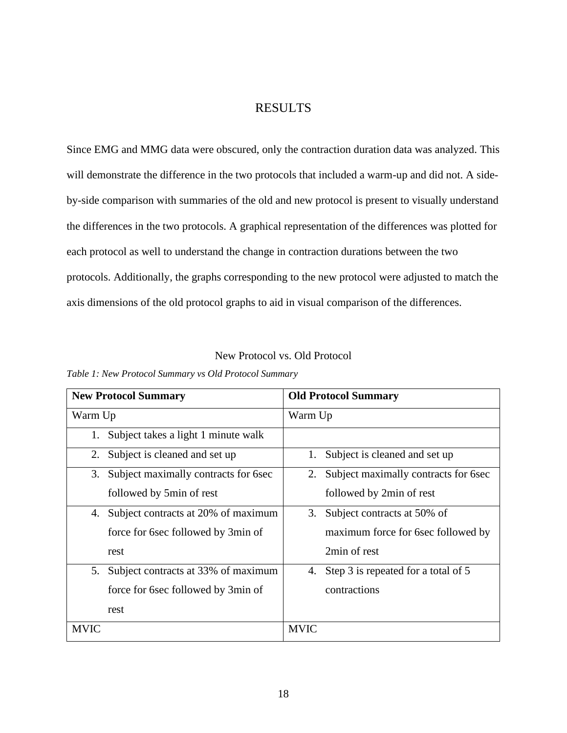## RESULTS

<span id="page-25-0"></span>Since EMG and MMG data were obscured, only the contraction duration data was analyzed. This will demonstrate the difference in the two protocols that included a warm-up and did not. A sideby-side comparison with summaries of the old and new protocol is present to visually understand the differences in the two protocols. A graphical representation of the differences was plotted for each protocol as well to understand the change in contraction durations between the two protocols. Additionally, the graphs corresponding to the new protocol were adjusted to match the axis dimensions of the old protocol graphs to aid in visual comparison of the differences.

#### New Protocol vs. Old Protocol

|             | <b>New Protocol Summary</b>          | <b>Old Protocol Summary</b>                |
|-------------|--------------------------------------|--------------------------------------------|
| Warm Up     |                                      | Warm Up                                    |
| 1.          | Subject takes a light 1 minute walk  |                                            |
| 2.          | Subject is cleaned and set up        | Subject is cleaned and set up<br>1.        |
| 3.          | Subject maximally contracts for 6sec | Subject maximally contracts for 6sec<br>2. |
|             | followed by 5min of rest             | followed by 2min of rest                   |
| 4.          | Subject contracts at 20% of maximum  | Subject contracts at 50% of<br>3.          |
|             | force for 6sec followed by 3min of   | maximum force for 6sec followed by         |
|             | rest                                 | 2min of rest                               |
| 5.          | Subject contracts at 33% of maximum  | Step 3 is repeated for a total of 5<br>4.  |
|             | force for 6sec followed by 3min of   | contractions                               |
|             | rest                                 |                                            |
| <b>MVIC</b> |                                      | <b>MVIC</b>                                |

<span id="page-25-2"></span><span id="page-25-1"></span>*Table 1: New Protocol Summary vs Old Protocol Summary*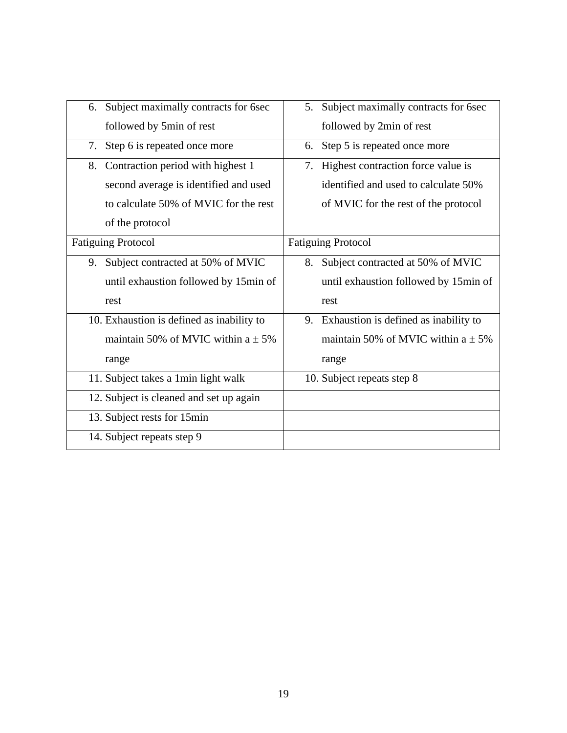| Subject maximally contracts for 6sec<br>6. | 5. Subject maximally contracts for 6sec  |
|--------------------------------------------|------------------------------------------|
| followed by 5min of rest                   | followed by 2min of rest                 |
| Step 6 is repeated once more<br>7.         | Step 5 is repeated once more<br>6.       |
| Contraction period with highest 1<br>8.    | Highest contraction force value is<br>7. |
| second average is identified and used      | identified and used to calculate 50%     |
| to calculate 50% of MVIC for the rest      | of MVIC for the rest of the protocol     |
| of the protocol                            |                                          |
| <b>Fatiguing Protocol</b>                  | <b>Fatiguing Protocol</b>                |
| Subject contracted at 50% of MVIC<br>9.    | Subject contracted at 50% of MVIC<br>8.  |
| until exhaustion followed by 15min of      | until exhaustion followed by 15min of    |
| rest                                       | rest                                     |
| 10. Exhaustion is defined as inability to  | 9. Exhaustion is defined as inability to |
| maintain 50% of MVIC within $a \pm 5\%$    | maintain 50% of MVIC within $a \pm 5\%$  |
| range                                      | range                                    |
| 11. Subject takes a 1min light walk        | 10. Subject repeats step 8               |
| 12. Subject is cleaned and set up again    |                                          |
| 13. Subject rests for 15min                |                                          |
|                                            |                                          |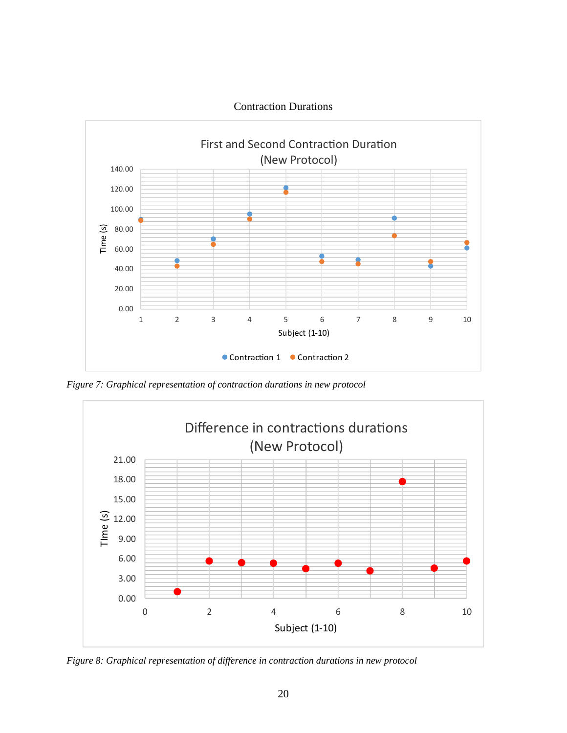<span id="page-27-0"></span>

<span id="page-27-1"></span>*Figure 7: Graphical representation of contraction durations in new protocol*



*Figure 8: Graphical representation of difference in contraction durations in new protocol*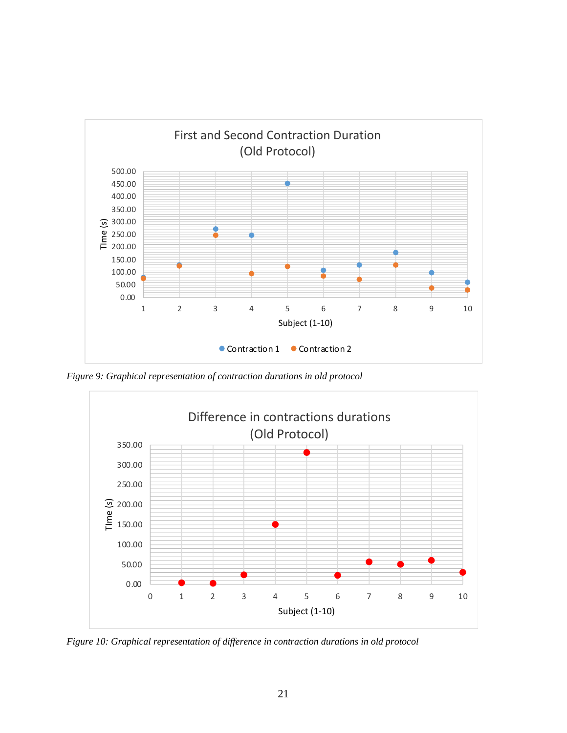

*Figure 9: Graphical representation of contraction durations in old protocol*



*Figure 10: Graphical representation of difference in contraction durations in old protocol*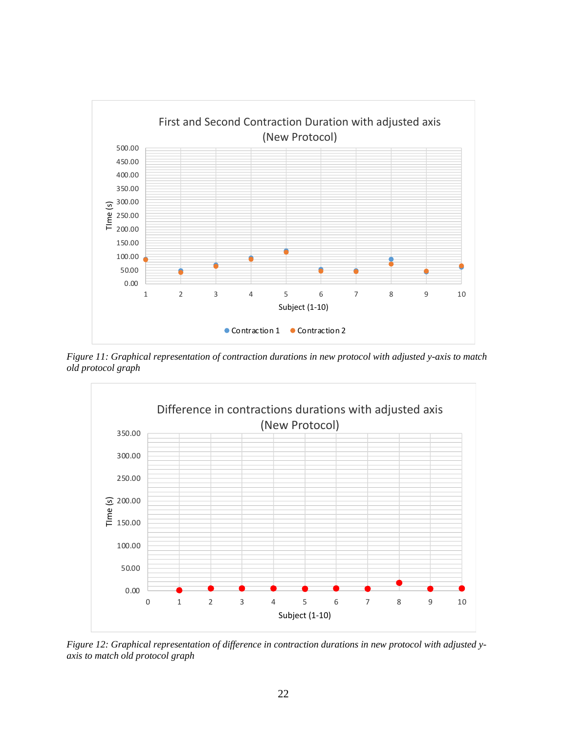

*Figure 11: Graphical representation of contraction durations in new protocol with adjusted y-axis to match old protocol graph*



*Figure 12: Graphical representation of difference in contraction durations in new protocol with adjusted yaxis to match old protocol graph*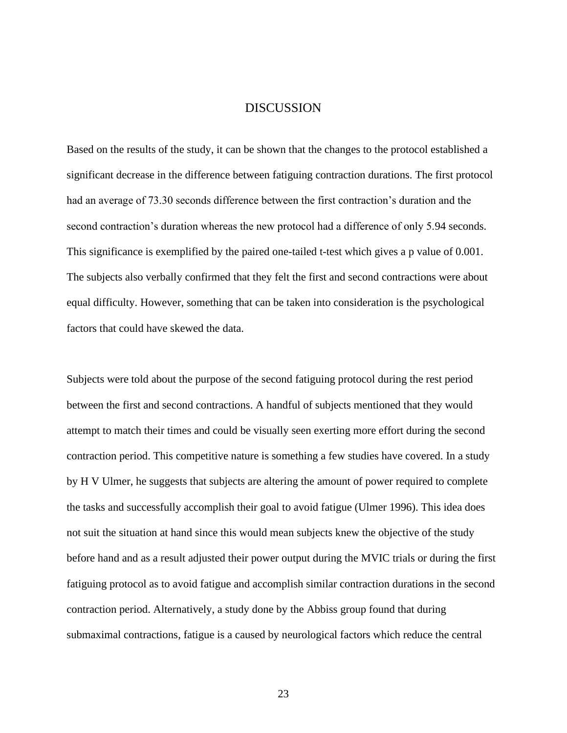### DISCUSSION

<span id="page-30-0"></span>Based on the results of the study, it can be shown that the changes to the protocol established a significant decrease in the difference between fatiguing contraction durations. The first protocol had an average of 73.30 seconds difference between the first contraction's duration and the second contraction's duration whereas the new protocol had a difference of only 5.94 seconds. This significance is exemplified by the paired one-tailed t-test which gives a p value of 0.001. The subjects also verbally confirmed that they felt the first and second contractions were about equal difficulty. However, something that can be taken into consideration is the psychological factors that could have skewed the data.

Subjects were told about the purpose of the second fatiguing protocol during the rest period between the first and second contractions. A handful of subjects mentioned that they would attempt to match their times and could be visually seen exerting more effort during the second contraction period. This competitive nature is something a few studies have covered. In a study by H V Ulmer, he suggests that subjects are altering the amount of power required to complete the tasks and successfully accomplish their goal to avoid fatigue (Ulmer 1996). This idea does not suit the situation at hand since this would mean subjects knew the objective of the study before hand and as a result adjusted their power output during the MVIC trials or during the first fatiguing protocol as to avoid fatigue and accomplish similar contraction durations in the second contraction period. Alternatively, a study done by the Abbiss group found that during submaximal contractions, fatigue is a caused by neurological factors which reduce the central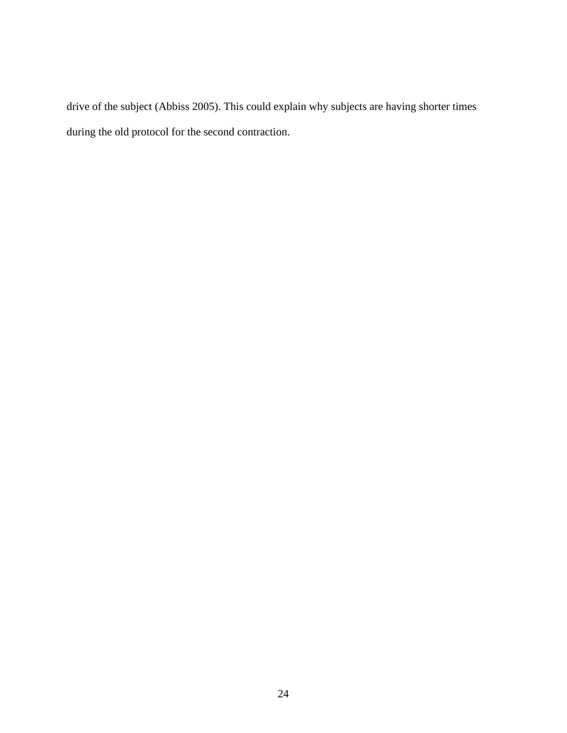drive of the subject (Abbiss 2005). This could explain why subjects are having shorter times during the old protocol for the second contraction.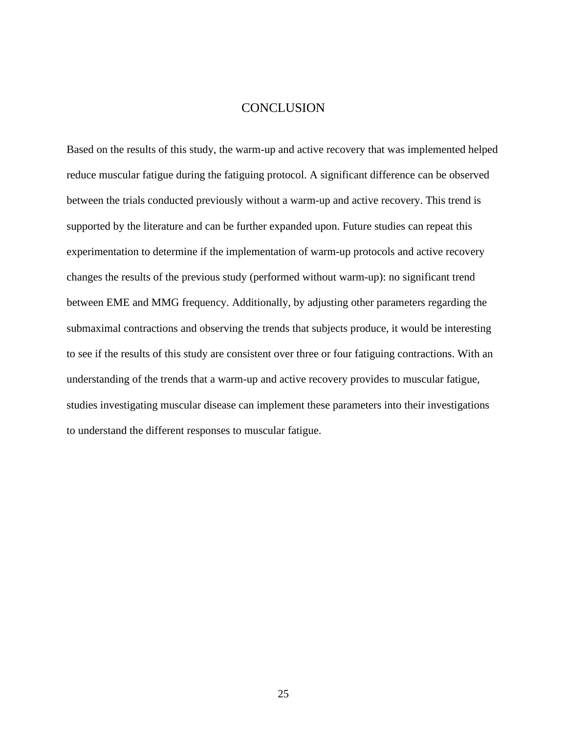## **CONCLUSION**

<span id="page-32-0"></span>Based on the results of this study, the warm-up and active recovery that was implemented helped reduce muscular fatigue during the fatiguing protocol. A significant difference can be observed between the trials conducted previously without a warm-up and active recovery. This trend is supported by the literature and can be further expanded upon. Future studies can repeat this experimentation to determine if the implementation of warm-up protocols and active recovery changes the results of the previous study (performed without warm-up): no significant trend between EME and MMG frequency. Additionally, by adjusting other parameters regarding the submaximal contractions and observing the trends that subjects produce, it would be interesting to see if the results of this study are consistent over three or four fatiguing contractions. With an understanding of the trends that a warm-up and active recovery provides to muscular fatigue, studies investigating muscular disease can implement these parameters into their investigations to understand the different responses to muscular fatigue.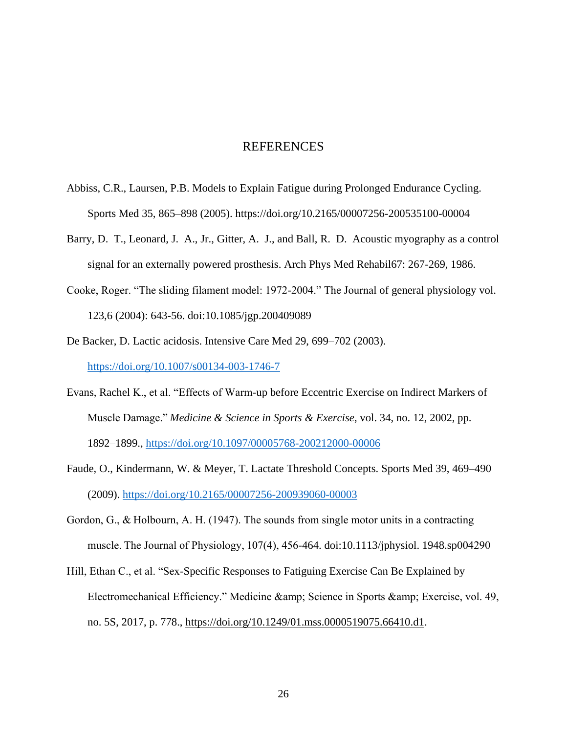#### REFERENCES

- <span id="page-33-0"></span>Abbiss, C.R., Laursen, P.B. Models to Explain Fatigue during Prolonged Endurance Cycling. Sports Med 35, 865–898 (2005). https://doi.org/10.2165/00007256-200535100-00004
- Barry, D. T., Leonard, J. A., Jr., Gitter, A. J., and Ball, R. D. Acoustic myography as a control signal for an externally powered prosthesis. Arch Phys Med Rehabil67: 267-269, 1986.
- Cooke, Roger. "The sliding filament model: 1972-2004." The Journal of general physiology vol. 123,6 (2004): 643-56. doi:10.1085/jgp.200409089
- De Backer, D. Lactic acidosis. Intensive Care Med 29, 699–702 (2003). <https://doi.org/10.1007/s00134-003-1746-7>
- Evans, Rachel K., et al. "Effects of Warm-up before Eccentric Exercise on Indirect Markers of Muscle Damage." *Medicine & Science in Sports & Exercise*, vol. 34, no. 12, 2002, pp. 1892–1899.,<https://doi.org/10.1097/00005768-200212000-00006>
- Faude, O., Kindermann, W. & Meyer, T. Lactate Threshold Concepts. Sports Med 39, 469–490 (2009).<https://doi.org/10.2165/00007256-200939060-00003>
- Gordon, G., & Holbourn, A. H. (1947). The sounds from single motor units in a contracting muscle. The Journal of Physiology, 107(4), 456-464. doi:10.1113/jphysiol. 1948.sp004290
- Hill, Ethan C., et al. "Sex-Specific Responses to Fatiguing Exercise Can Be Explained by Electromechanical Efficiency." Medicine & amp; Science in Sports & amp; Exercise, vol. 49, no. 5S, 2017, p. 778., [https://doi.org/10.1249/01.mss.0000519075.66410.d1.](https://doi.org/10.1249/01.mss.0000519075.66410.d1)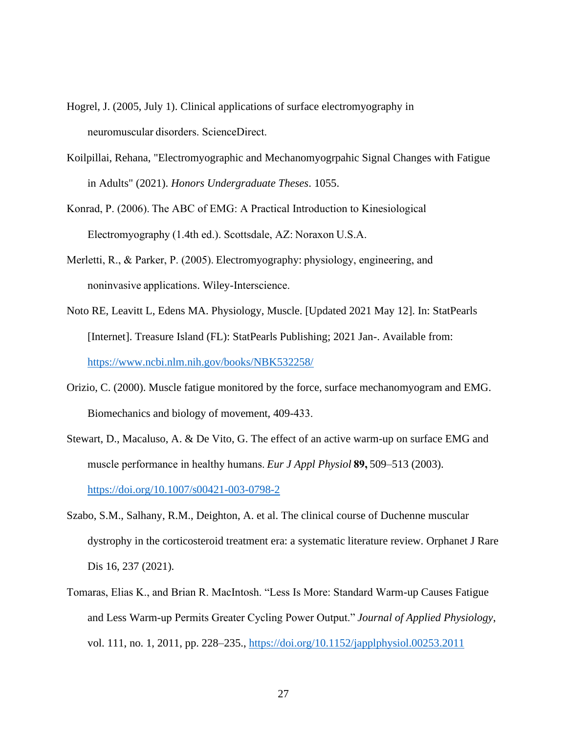- Hogrel, J. (2005, July 1). Clinical applications of surface electromyography in neuromuscular disorders. ScienceDirect.
- Koilpillai, Rehana, "Electromyographic and Mechanomyogrpahic Signal Changes with Fatigue in Adults" (2021). *Honors Undergraduate Theses*. 1055.
- Konrad, P. (2006). The ABC of EMG: A Practical Introduction to Kinesiological Electromyography (1.4th ed.). Scottsdale, AZ: Noraxon U.S.A.
- Merletti, R., & Parker, P. (2005). Electromyography: physiology, engineering, and noninvasive applications. Wiley-Interscience.
- Noto RE, Leavitt L, Edens MA. Physiology, Muscle. [Updated 2021 May 12]. In: StatPearls [Internet]. Treasure Island (FL): StatPearls Publishing; 2021 Jan-. Available from: <https://www.ncbi.nlm.nih.gov/books/NBK532258/>
- Orizio, C. (2000). Muscle fatigue monitored by the force, surface mechanomyogram and EMG. Biomechanics and biology of movement, 409-433.
- Stewart, D., Macaluso, A. & De Vito, G. The effect of an active warm-up on surface EMG and muscle performance in healthy humans. *Eur J Appl Physiol* **89,**509–513 (2003). <https://doi.org/10.1007/s00421-003-0798-2>
- Szabo, S.M., Salhany, R.M., Deighton, A. et al. The clinical course of Duchenne muscular dystrophy in the corticosteroid treatment era: a systematic literature review. Orphanet J Rare Dis 16, 237 (2021).
- Tomaras, Elias K., and Brian R. MacIntosh. "Less Is More: Standard Warm-up Causes Fatigue and Less Warm-up Permits Greater Cycling Power Output." *Journal of Applied Physiology*, vol. 111, no. 1, 2011, pp. 228–235.,<https://doi.org/10.1152/japplphysiol.00253.2011>